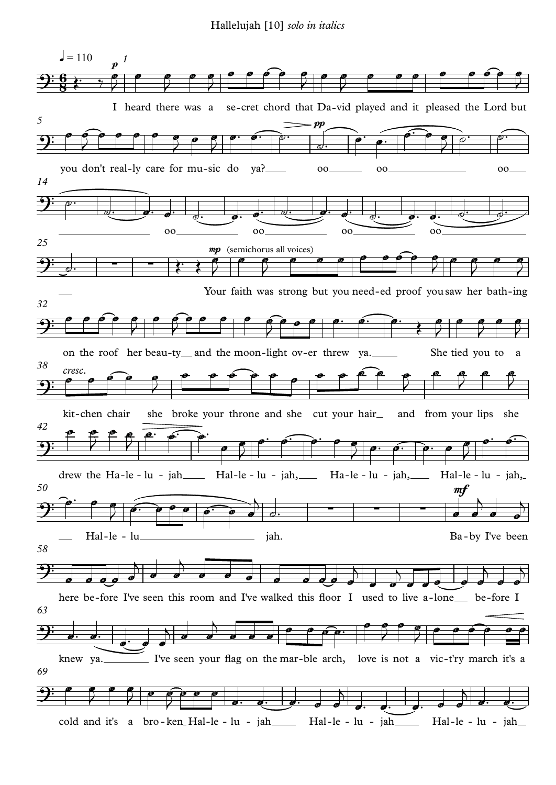Hallelujah [10] *solo in italics*